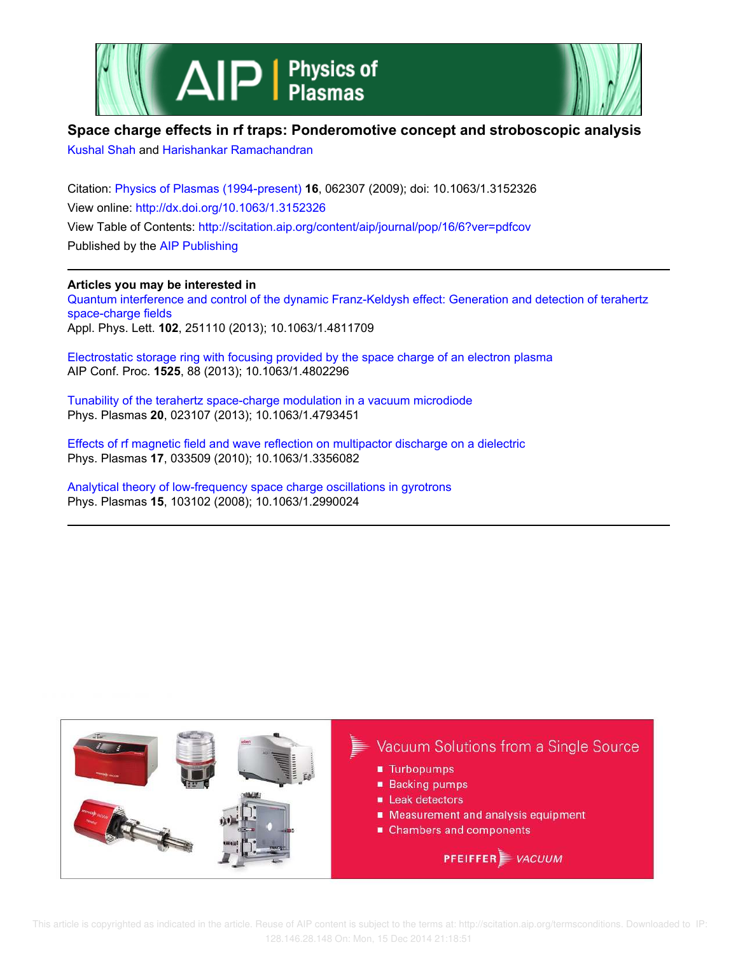



# **Space charge effects in rf traps: Ponderomotive concept and stroboscopic analysis**

Kushal Shah and Harishankar Ramachandran

Citation: Physics of Plasmas (1994-present) **16**, 062307 (2009); doi: 10.1063/1.3152326 View online: http://dx.doi.org/10.1063/1.3152326 View Table of Contents: http://scitation.aip.org/content/aip/journal/pop/16/6?ver=pdfcov Published by the AIP Publishing

## **Articles you may be interested in**

Quantum interference and control of the dynamic Franz-Keldysh effect: Generation and detection of terahertz space-charge fields Appl. Phys. Lett. **102**, 251110 (2013); 10.1063/1.4811709

Electrostatic storage ring with focusing provided by the space charge of an electron plasma AIP Conf. Proc. **1525**, 88 (2013); 10.1063/1.4802296

Tunability of the terahertz space-charge modulation in a vacuum microdiode Phys. Plasmas **20**, 023107 (2013); 10.1063/1.4793451

Effects of rf magnetic field and wave reflection on multipactor discharge on a dielectric Phys. Plasmas **17**, 033509 (2010); 10.1063/1.3356082

Analytical theory of low-frequency space charge oscillations in gyrotrons Phys. Plasmas **15**, 103102 (2008); 10.1063/1.2990024



 This article is copyrighted as indicated in the article. Reuse of AIP content is subject to the terms at: http://scitation.aip.org/termsconditions. Downloaded to IP: 128.146.28.148 On: Mon, 15 Dec 2014 21:18:51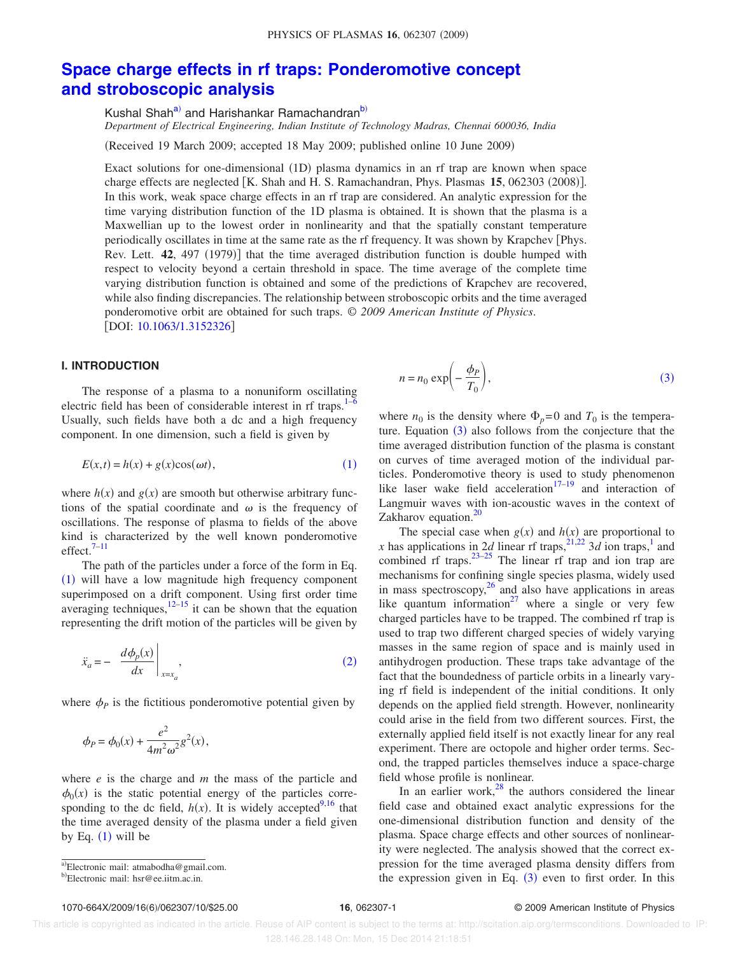# **Space charge effects in rf traps: Ponderomotive concept and stroboscopic analysis**

Kushal Shah<sup>a)</sup> and Harishankar Ramachandran<sup>b)</sup> *Department of Electrical Engineering, Indian Institute of Technology Madras, Chennai 600036, India*

Received 19 March 2009; accepted 18 May 2009; published online 10 June 2009-

Exact solutions for one-dimensional (1D) plasma dynamics in an rf trap are known when space charge effects are neglected [K. Shah and H. S. Ramachandran, Phys. Plasmas 15, 062303 (2008)]. In this work, weak space charge effects in an rf trap are considered. An analytic expression for the time varying distribution function of the 1D plasma is obtained. It is shown that the plasma is a Maxwellian up to the lowest order in nonlinearity and that the spatially constant temperature periodically oscillates in time at the same rate as the rf frequency. It was shown by Krapchev Phys. Rev. Lett. 42, 497 (1979)] that the time averaged distribution function is double humped with respect to velocity beyond a certain threshold in space. The time average of the complete time varying distribution function is obtained and some of the predictions of Krapchev are recovered, while also finding discrepancies. The relationship between stroboscopic orbits and the time averaged ponderomotive orbit are obtained for such traps. © *2009 American Institute of Physics*. [DOI: 10.1063/1.3152326]

### **I. INTRODUCTION**

The response of a plasma to a nonuniform oscillating electric field has been of considerable interest in rf traps.<sup>1</sup> Usually, such fields have both a dc and a high frequency component. In one dimension, such a field is given by

$$
E(x,t) = h(x) + g(x)\cos(\omega t),
$$
\n(1)

where  $h(x)$  and  $g(x)$  are smooth but otherwise arbitrary functions of the spatial coordinate and  $\omega$  is the frequency of oscillations. The response of plasma to fields of the above kind is characterized by the well known ponderomotive  $effect.<sup>7–11</sup>$ 

The path of the particles under a force of the form in Eq.  $(1)$  will have a low magnitude high frequency component superimposed on a drift component. Using first order time averaging techniques,  $12-15$  it can be shown that the equation representing the drift motion of the particles will be given by

$$
\ddot{x}_a = - \left. \frac{d\phi_p(x)}{dx} \right|_{x=x_a},\tag{2}
$$

where  $\phi_P$  is the fictitious ponderomotive potential given by

$$
\phi_P = \phi_0(x) + \frac{e^2}{4m^2\omega^2}g^2(x),
$$

where *e* is the charge and *m* the mass of the particle and  $\phi_0(x)$  is the static potential energy of the particles corresponding to the dc field,  $h(x)$ . It is widely accepted<sup>9,16</sup> that the time averaged density of the plasma under a field given by Eq.  $(1)$  will be

$$
n = n_0 \exp\left(-\frac{\phi_P}{T_0}\right),\tag{3}
$$

where  $n_0$  is the density where  $\Phi_p = 0$  and  $T_0$  is the temperature. Equation  $(3)$  also follows from the conjecture that the time averaged distribution function of the plasma is constant on curves of time averaged motion of the individual particles. Ponderomotive theory is used to study phenomenon like laser wake field acceleration<sup>17–19</sup> and interaction of Langmuir waves with ion-acoustic waves in the context of Zakharov equation.<sup>20</sup>

The special case when  $g(x)$  and  $h(x)$  are proportional to *x* has applications in 2*d* linear rf traps,<sup>21,22</sup> 3*d* ion traps,<sup>1</sup> and combined rf traps.<sup>23–25</sup> The linear rf trap and ion trap are mechanisms for confining single species plasma, widely used in mass spectroscopy, $2^6$  and also have applications in areas like quantum information<sup>27</sup> where a single or very few charged particles have to be trapped. The combined rf trap is used to trap two different charged species of widely varying masses in the same region of space and is mainly used in antihydrogen production. These traps take advantage of the fact that the boundedness of particle orbits in a linearly varying rf field is independent of the initial conditions. It only depends on the applied field strength. However, nonlinearity could arise in the field from two different sources. First, the externally applied field itself is not exactly linear for any real experiment. There are octopole and higher order terms. Second, the trapped particles themselves induce a space-charge field whose profile is nonlinear.

In an earlier work, $28$  the authors considered the linear field case and obtained exact analytic expressions for the one-dimensional distribution function and density of the plasma. Space charge effects and other sources of nonlinearity were neglected. The analysis showed that the correct expression for the time averaged plasma density differs from the expression given in Eq.  $(3)$  even to first order. In this

 This article is copyrighted as indicated in the article. Reuse of AIP content is subject to the terms at: http://scitation.aip.org/termsconditions. Downloaded to IP: 128.146.28.148 On: Mon, 15 Dec 2014 21:18:51

a)Electronic mail: atmabodha@gmail.com.

<sup>&</sup>lt;sup>b)</sup>Electronic mail: hsr@ee.iitm.ac.in.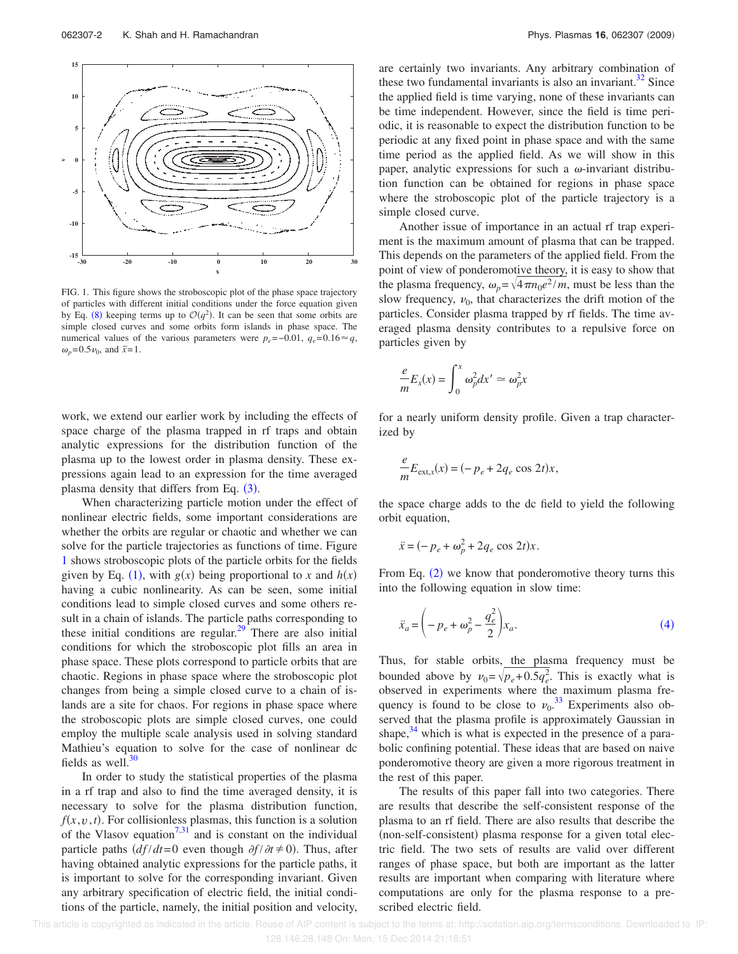

FIG. 1. This figure shows the stroboscopic plot of the phase space trajectory of particles with different initial conditions under the force equation given by Eq. (8) keeping terms up to  $O(q^2)$ . It can be seen that some orbits are simple closed curves and some orbits form islands in phase space. The numerical values of the various parameters were  $p_e$ =−0.01,  $q_e$ =0.16≈ $q$ ,  $\omega_p = 0.5 \nu_0$ , and  $\bar{x} = 1$ .

work, we extend our earlier work by including the effects of space charge of the plasma trapped in rf traps and obtain analytic expressions for the distribution function of the plasma up to the lowest order in plasma density. These expressions again lead to an expression for the time averaged plasma density that differs from Eq.  $(3)$ .

When characterizing particle motion under the effect of nonlinear electric fields, some important considerations are whether the orbits are regular or chaotic and whether we can solve for the particle trajectories as functions of time. Figure 1 shows stroboscopic plots of the particle orbits for the fields given by Eq. (1), with  $g(x)$  being proportional to *x* and  $h(x)$ having a cubic nonlinearity. As can be seen, some initial conditions lead to simple closed curves and some others result in a chain of islands. The particle paths corresponding to these initial conditions are regular.<sup>29</sup> There are also initial conditions for which the stroboscopic plot fills an area in phase space. These plots correspond to particle orbits that are chaotic. Regions in phase space where the stroboscopic plot changes from being a simple closed curve to a chain of islands are a site for chaos. For regions in phase space where the stroboscopic plots are simple closed curves, one could employ the multiple scale analysis used in solving standard Mathieu's equation to solve for the case of nonlinear dc fields as well. $30$ 

In order to study the statistical properties of the plasma in a rf trap and also to find the time averaged density, it is necessary to solve for the plasma distribution function,  $f(x, v, t)$ . For collisionless plasmas, this function is a solution of the Vlasov equation<sup>7,31</sup> and is constant on the individual particle paths  $\left(\frac{df}{dt} = 0\right)$  even though  $\frac{\partial f}{\partial t} \neq 0$ ). Thus, after having obtained analytic expressions for the particle paths, it is important to solve for the corresponding invariant. Given any arbitrary specification of electric field, the initial conditions of the particle, namely, the initial position and velocity, are certainly two invariants. Any arbitrary combination of these two fundamental invariants is also an invariant.<sup>32</sup> Since the applied field is time varying, none of these invariants can be time independent. However, since the field is time periodic, it is reasonable to expect the distribution function to be periodic at any fixed point in phase space and with the same time period as the applied field. As we will show in this paper, analytic expressions for such a  $\omega$ -invariant distribution function can be obtained for regions in phase space where the stroboscopic plot of the particle trajectory is a simple closed curve.

Another issue of importance in an actual rf trap experiment is the maximum amount of plasma that can be trapped. This depends on the parameters of the applied field. From the point of view of ponderomotive theory, it is easy to show that the plasma frequency,  $\omega_p = \sqrt{4 \pi n_0 e^2/m}$ , must be less than the slow frequency,  $v_0$ , that characterizes the drift motion of the particles. Consider plasma trapped by rf fields. The time averaged plasma density contributes to a repulsive force on particles given by

$$
\frac{e}{m}E_x(x) = \int_0^x \omega_p^2 dx' \approx \omega_p^2 x
$$

for a nearly uniform density profile. Given a trap characterized by

$$
\frac{e}{m}E_{\text{ext},x}(x) = (-p_e + 2q_e \cos 2t)x,
$$

the space charge adds to the dc field to yield the following orbit equation,

$$
\ddot{x} = (-p_e + \omega_p^2 + 2q_e \cos 2t)x.
$$

From Eq.  $(2)$  we know that ponderomotive theory turns this into the following equation in slow time:

$$
\ddot{x}_a = \left(-p_e + \omega_p^2 - \frac{q_e^2}{2}\right)x_a.
$$
\n(4)

Thus, for stable orbits, the plasma frequency must be bounded above by  $v_0 = \sqrt{p_e + 0.5q_e^2}$ . This is exactly what is observed in experiments where the maximum plasma frequency is found to be close to  $v_0$ .<sup>33</sup> Experiments also observed that the plasma profile is approximately Gaussian in shape, $34$  which is what is expected in the presence of a parabolic confining potential. These ideas that are based on naive ponderomotive theory are given a more rigorous treatment in the rest of this paper.

The results of this paper fall into two categories. There are results that describe the self-consistent response of the plasma to an rf field. There are also results that describe the (non-self-consistent) plasma response for a given total electric field. The two sets of results are valid over different ranges of phase space, but both are important as the latter results are important when comparing with literature where computations are only for the plasma response to a prescribed electric field.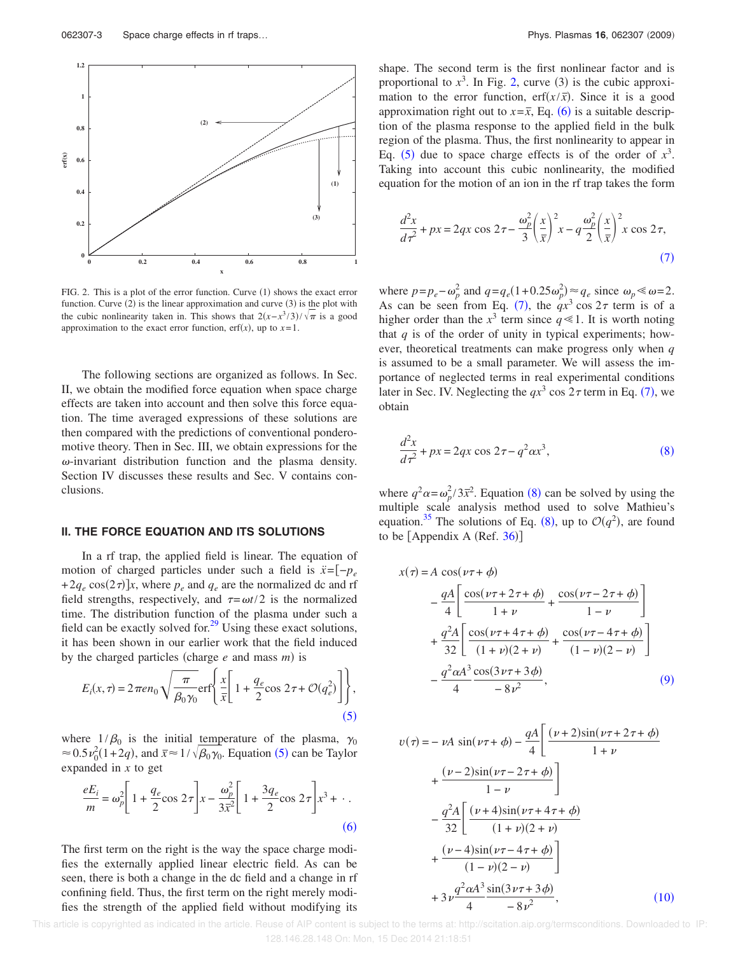

FIG. 2. This is a plot of the error function. Curve (1) shows the exact error function. Curve (2) is the linear approximation and curve (3) is the plot with the cubic nonlinearity taken in. This shows that  $2(x-x^3/3)/\sqrt{\pi}$  is a good approximation to the exact error function,  $erf(x)$ , up to  $x=1$ .

The following sections are organized as follows. In Sec. II, we obtain the modified force equation when space charge effects are taken into account and then solve this force equation. The time averaged expressions of these solutions are then compared with the predictions of conventional ponderomotive theory. Then in Sec. III, we obtain expressions for the  $\omega$ -invariant distribution function and the plasma density. Section IV discusses these results and Sec. V contains conclusions.

#### **II. THE FORCE EQUATION AND ITS SOLUTIONS**

In a rf trap, the applied field is linear. The equation of motion of charged particles under such a field is  $\ddot{x} = [-p_e]$  $+2q_e \cos(2\tau)$  *x*, where  $p_e$  and  $q_e$  are the normalized dc and rf field strengths, respectively, and  $\tau = \omega t/2$  is the normalized time. The distribution function of the plasma under such a field can be exactly solved for. $29$  Using these exact solutions, it has been shown in our earlier work that the field induced by the charged particles (charge *e* and mass *m*) is

$$
E_i(x,\tau) = 2\pi e n_0 \sqrt{\frac{\pi}{\beta_0 \gamma_0}} \text{erf}\left\{\frac{x}{\bar{x}} \left[1 + \frac{q_e}{2} \cos 2\tau + \mathcal{O}(q_e^2)\right]\right\},\tag{5}
$$

where  $1/\beta_0$  is the initial temperature of the plasma,  $\gamma_0$  $\approx 0.5 \nu_0^2 (1+2q)$ , and  $\bar{x} \approx 1/\sqrt{\beta_0 \gamma_0}$ . Equation (5) can be Taylor expanded in *x* to get

$$
\frac{eE_i}{m} = \omega_p^2 \left[ 1 + \frac{q_e}{2} \cos 2\tau \right] x - \frac{\omega_p^2}{3\bar{x}^2} \left[ 1 + \frac{3q_e}{2} \cos 2\tau \right] x^3 + \dots
$$
\n(6)

The first term on the right is the way the space charge modifies the externally applied linear electric field. As can be seen, there is both a change in the dc field and a change in rf confining field. Thus, the first term on the right merely modifies the strength of the applied field without modifying its shape. The second term is the first nonlinear factor and is proportional to  $x^3$ . In Fig. 2, curve (3) is the cubic approximation to the error function, erf $(x/\overline{x})$ . Since it is a good approximation right out to  $x = \overline{x}$ , Eq. (6) is a suitable description of the plasma response to the applied field in the bulk region of the plasma. Thus, the first nonlinearity to appear in Eq. (5) due to space charge effects is of the order of  $x^3$ . Taking into account this cubic nonlinearity, the modified equation for the motion of an ion in the rf trap takes the form

$$
\frac{d^2x}{d\tau^2} + px = 2qx\cos 2\tau - \frac{\omega_p^2}{3} \left(\frac{x}{\bar{x}}\right)^2 x - q\frac{\omega_p^2}{2} \left(\frac{x}{\bar{x}}\right)^2 x \cos 2\tau,\tag{7}
$$

where  $p = p_e - \omega_p^2$  and  $q = q_e (1 + 0.25 \omega_p^2) \approx q_e$  since  $\omega_p \ll \omega = 2$ . As can be seen from Eq. (7), the  $qx^3 \cos 2\tau$  term is of a higher order than the  $x^3$  term since  $q \ll 1$ . It is worth noting that *q* is of the order of unity in typical experiments; however, theoretical treatments can make progress only when *q* is assumed to be a small parameter. We will assess the importance of neglected terms in real experimental conditions later in Sec. IV. Neglecting the  $qx^3 \cos 2\tau$  term in Eq. (7), we obtain

$$
\frac{d^2x}{d\tau^2} + px = 2qx \cos 2\tau - q^2 \alpha x^3,\tag{8}
$$

where  $q^2 \alpha = \omega_p^2 / 3\bar{x}^2$ . Equation (8) can be solved by using the multiple scale analysis method used to solve Mathieu's equation.<sup>35</sup> The solutions of Eq. (8), up to  $\mathcal{O}(q^2)$ , are found to be  $[$ Appendix A  $($ Ref. 36 $)$  $]$ 

$$
x(\tau) = A \cos(\nu \tau + \phi)
$$
  
\n
$$
- \frac{qA}{4} \left[ \frac{\cos(\nu \tau + 2\tau + \phi)}{1 + \nu} + \frac{\cos(\nu \tau - 2\tau + \phi)}{1 - \nu} \right]
$$
  
\n
$$
+ \frac{q^{2}A}{32} \left[ \frac{\cos(\nu \tau + 4\tau + \phi)}{(1 + \nu)(2 + \nu)} + \frac{\cos(\nu \tau - 4\tau + \phi)}{(1 - \nu)(2 - \nu)} \right]
$$
  
\n
$$
- \frac{q^{2} \alpha A^{3}}{4} \frac{\cos(3 \nu \tau + 3\phi)}{-8 \nu^{2}},
$$
\n(9)

$$
v(\tau) = -\nu A \sin(\nu \tau + \phi) - \frac{qA}{4} \left[ \frac{(\nu + 2)\sin(\nu \tau + 2\tau + \phi)}{1 + \nu} + \frac{(\nu - 2)\sin(\nu \tau - 2\tau + \phi)}{1 - \nu} \right] \\
- \frac{q^{2}A}{32} \left[ \frac{(\nu + 4)\sin(\nu \tau + 4\tau + \phi)}{(1 + \nu)(2 + \nu)} + \frac{(\nu - 4)\sin(\nu \tau - 4\tau + \phi)}{(1 - \nu)(2 - \nu)} \right] \\
+ 3\nu \frac{q^{2}\alpha A^{3}}{4} \frac{\sin(3\nu \tau + 3\phi)}{-8\nu^{2}},
$$
\n(10)

 This article is copyrighted as indicated in the article. Reuse of AIP content is subject to the terms at: http://scitation.aip.org/termsconditions. Downloaded to IP: 128.146.28.148 On: Mon, 15 Dec 2014 21:18:51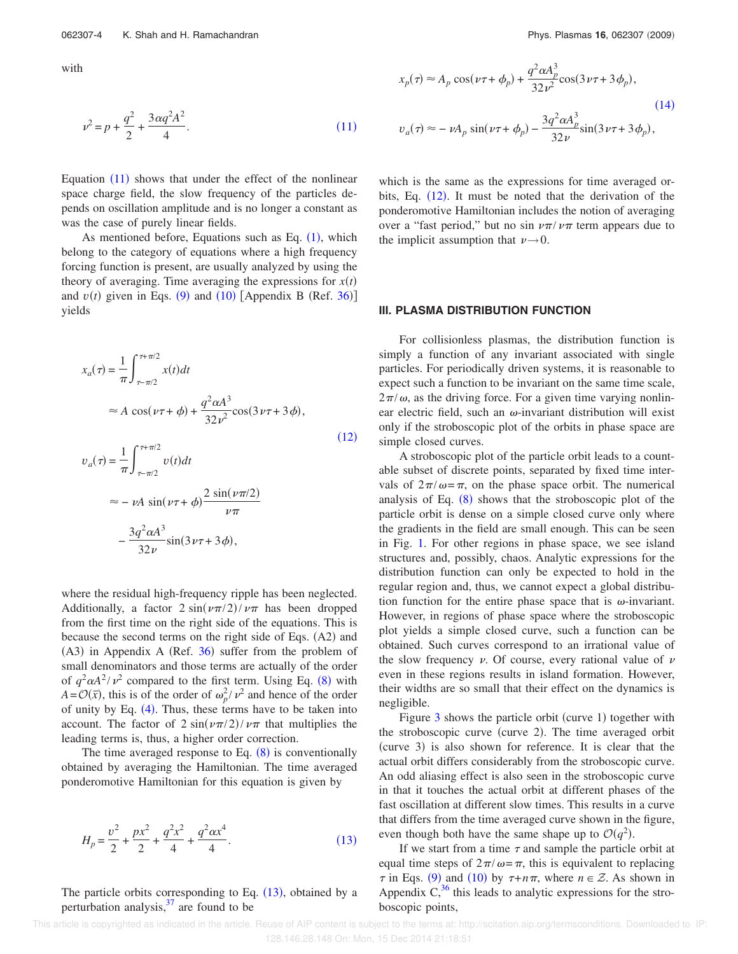with

$$
\nu^2 = p + \frac{q^2}{2} + \frac{3\alpha q^2 A^2}{4}.
$$
\n(11)

Equation  $(11)$  shows that under the effect of the nonlinear space charge field, the slow frequency of the particles depends on oscillation amplitude and is no longer a constant as was the case of purely linear fields.

As mentioned before, Equations such as Eq.  $(1)$ , which belong to the category of equations where a high frequency forcing function is present, are usually analyzed by using the theory of averaging. Time averaging the expressions for  $x(t)$ and  $v(t)$  given in Eqs. (9) and (10) [Appendix B (Ref. 36)] yields

$$
x_a(\tau) = \frac{1}{\pi} \int_{\tau - \pi/2}^{\tau + \pi/2} x(t) dt
$$
  
\n
$$
\approx A \cos(\nu \tau + \phi) + \frac{q^2 \alpha A^3}{32 \nu^2} \cos(3\nu \tau + 3\phi),
$$
\n(12)

$$
v_a(\tau) = \frac{1}{\pi} \int_{\tau - \pi/2}^{\tau + \pi/2} v(t) dt
$$
  
\n
$$
\approx -\nu A \sin(\nu \tau + \phi) \frac{2 \sin(\nu \pi/2)}{\nu \pi}
$$
  
\n
$$
- \frac{3q^2 \alpha A^3}{32 \nu} \sin(3 \nu \tau + 3 \phi),
$$

where the residual high-frequency ripple has been neglected. Additionally, a factor  $2 \sin(\nu \pi/2) / \nu \pi$  has been dropped from the first time on the right side of the equations. This is because the second terms on the right side of Eqs. (A2) and  $(A3)$  in Appendix A (Ref. 36) suffer from the problem of small denominators and those terms are actually of the order of  $q^2 \alpha A^2 / v^2$  compared to the first term. Using Eq. (8) with  $A = \mathcal{O}(\bar{x})$ , this is of the order of  $\omega_p^2 / \nu^2$  and hence of the order of unity by Eq.  $(4)$ . Thus, these terms have to be taken into account. The factor of  $2 \sin(\nu \pi/2) / \nu \pi$  that multiplies the leading terms is, thus, a higher order correction.

The time averaged response to Eq.  $(8)$  is conventionally obtained by averaging the Hamiltonian. The time averaged ponderomotive Hamiltonian for this equation is given by

$$
H_p = \frac{v^2}{2} + \frac{px^2}{2} + \frac{q^2x^2}{4} + \frac{q^2ax^4}{4}.
$$
 (13)

The particle orbits corresponding to Eq.  $(13)$ , obtained by a perturbation analysis, $37$  are found to be

$$
x_p(\tau) \approx A_p \cos(\nu \tau + \phi_p) + \frac{q^2 \alpha A_p^3}{32 \nu^2} \cos(3 \nu \tau + 3 \phi_p),
$$
  
(14)  

$$
v_a(\tau) \approx -\nu A_p \sin(\nu \tau + \phi_p) - \frac{3q^2 \alpha A_p^3}{32 \nu} \sin(3 \nu \tau + 3 \phi_p),
$$

which is the same as the expressions for time averaged orbits, Eq.  $(12)$ . It must be noted that the derivation of the ponderomotive Hamiltonian includes the notion of averaging over a "fast period," but no sin  $\nu \pi / \nu \pi$  term appears due to the implicit assumption that  $\nu \rightarrow 0$ .

#### **III. PLASMA DISTRIBUTION FUNCTION**

For collisionless plasmas, the distribution function is simply a function of any invariant associated with single particles. For periodically driven systems, it is reasonable to expect such a function to be invariant on the same time scale,  $2\pi/\omega$ , as the driving force. For a given time varying nonlinear electric field, such an  $\omega$ -invariant distribution will exist only if the stroboscopic plot of the orbits in phase space are simple closed curves.

A stroboscopic plot of the particle orbit leads to a countable subset of discrete points, separated by fixed time intervals of  $2\pi/\omega = \pi$ , on the phase space orbit. The numerical analysis of Eq.  $(8)$  shows that the stroboscopic plot of the particle orbit is dense on a simple closed curve only where the gradients in the field are small enough. This can be seen in Fig. 1. For other regions in phase space, we see island structures and, possibly, chaos. Analytic expressions for the distribution function can only be expected to hold in the regular region and, thus, we cannot expect a global distribution function for the entire phase space that is  $\omega$ -invariant. However, in regions of phase space where the stroboscopic plot yields a simple closed curve, such a function can be obtained. Such curves correspond to an irrational value of the slow frequency  $\nu$ . Of course, every rational value of  $\nu$ even in these regions results in island formation. However, their widths are so small that their effect on the dynamics is negligible.

Figure  $3$  shows the particle orbit (curve 1) together with the stroboscopic curve (curve 2). The time averaged orbit (curve 3) is also shown for reference. It is clear that the actual orbit differs considerably from the stroboscopic curve. An odd aliasing effect is also seen in the stroboscopic curve in that it touches the actual orbit at different phases of the fast oscillation at different slow times. This results in a curve that differs from the time averaged curve shown in the figure, even though both have the same shape up to  $O(q^2)$ .

If we start from a time  $\tau$  and sample the particle orbit at equal time steps of  $2\pi/\omega = \pi$ , this is equivalent to replacing  $\tau$  in Eqs. (9) and (10) by  $\tau + n\pi$ , where  $n \in \mathcal{Z}$ . As shown in Appendix  $C<sup>36</sup>$ , this leads to analytic expressions for the stroboscopic points,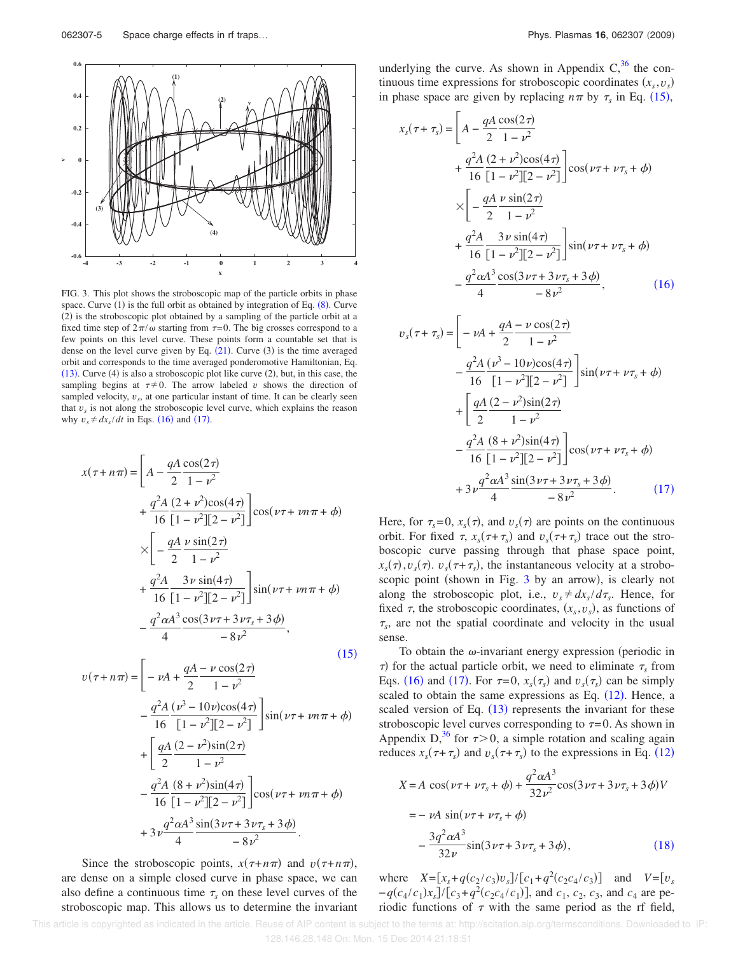

FIG. 3. This plot shows the stroboscopic map of the particle orbits in phase space. Curve  $(1)$  is the full orbit as obtained by integration of Eq.  $(8)$ . Curve (2) is the stroboscopic plot obtained by a sampling of the particle orbit at a fixed time step of  $2\pi/\omega$  starting from  $\tau=0$ . The big crosses correspond to a few points on this level curve. These points form a countable set that is dense on the level curve given by Eq.  $(21)$ . Curve  $(3)$  is the time averaged orbit and corresponds to the time averaged ponderomotive Hamiltonian, Eq.  $(13)$ . Curve  $(4)$  is also a stroboscopic plot like curve  $(2)$ , but, in this case, the sampling begins at  $\tau \neq 0$ . The arrow labeled *v* shows the direction of sampled velocity,  $v_s$ , at one particular instant of time. It can be clearly seen that  $v_s$  is not along the stroboscopic level curve, which explains the reason why  $v_s \neq dx_s/dt$  in Eqs. (16) and (17).

$$
x(\tau + n\pi) = \left[ A - \frac{qA}{2} \frac{\cos(2\tau)}{1 - \nu^2} + \frac{q^2A}{16} \frac{(2 + \nu^2)\cos(4\tau)}{[1 - \nu^2][2 - \nu^2]} \right] \cos(\nu\tau + \nu n\pi + \phi) \times \left[ -\frac{qA}{2} \frac{\nu \sin(2\tau)}{1 - \nu^2} + \frac{q^2A}{16} \frac{3\nu \sin(4\tau)}{[1 - \nu^2][2 - \nu^2]} \right] \sin(\nu\tau + \nu n\pi + \phi) - \frac{q^2\alpha A^3}{4} \frac{\cos(3\nu\tau + 3\nu\tau_s + 3\phi)}{-8\nu^2},
$$
\n(15)

$$
v(\tau + n\pi) = \left[ -\nu A + \frac{qA - \nu \cos(2\tau)}{2 - 1 - \nu^2} - \frac{q^2 A}{16} \frac{(\nu^3 - 10\nu)\cos(4\tau)}{[1 - \nu^2][2 - \nu^2]} \right] \sin(\nu \tau + \nu n\pi + \phi) + \left[ \frac{qA}{2} \frac{(2 - \nu^2)\sin(2\tau)}{1 - \nu^2} - \frac{q^2 A}{16} \frac{(8 + \nu^2)\sin(4\tau)}{[1 - \nu^2][2 - \nu^2]} \right] \cos(\nu \tau + \nu n\pi + \phi) + 3\nu \frac{q^2 \alpha A^3}{4} \frac{\sin(3\nu \tau + 3\nu \tau_s + 3\phi)}{-8\nu^2}.
$$

Since the stroboscopic points,  $x(\tau+n\pi)$  and  $v(\tau+n\pi)$ , are dense on a simple closed curve in phase space, we can also define a continuous time  $\tau_s$  on these level curves of the stroboscopic map. This allows us to determine the invariant underlying the curve. As shown in Appendix  $C<sup>36</sup>$ , the continuous time expressions for stroboscopic coordinates  $(x_s, v_s)$ in phase space are given by replacing  $n\pi$  by  $\tau_s$  in Eq. (15),

$$
x_{s}(\tau + \tau_{s}) = \left[ A - \frac{qA}{2} \frac{\cos(2\tau)}{1 - \nu^{2}} + \frac{q^{2}A}{16} \frac{(2 + \nu^{2})\cos(4\tau)}{[1 - \nu^{2}][2 - \nu^{2}]} \right] \cos(\nu\tau + \nu\tau_{s} + \phi) \times \left[ -\frac{qA}{2} \frac{\nu \sin(2\tau)}{1 - \nu^{2}} + \frac{q^{2}A}{16} \frac{3\nu \sin(4\tau)}{[1 - \nu^{2}][2 - \nu^{2}]} \right] \sin(\nu\tau + \nu\tau_{s} + \phi) - \frac{q^{2}\alpha A^{3}}{4} \frac{\cos(3\nu\tau + 3\nu\tau_{s} + 3\phi)}{-8\nu^{2}},
$$
(16)

$$
v_s(\tau + \tau_s) = \left[ -\nu A + \frac{qA - \nu \cos(2\tau)}{2 - 1 - \nu^2} - \frac{q^2 A}{16} \frac{(\nu^3 - 10\nu)\cos(4\tau)}{[1 - \nu^2][2 - \nu^2]} \right] \sin(\nu \tau + \nu \tau_s + \phi) + \left[ \frac{qA}{2} \frac{(2 - \nu^2)\sin(2\tau)}{1 - \nu^2} - \frac{q^2 A}{16} \frac{(8 + \nu^2)\sin(4\tau)}{[1 - \nu^2][2 - \nu^2]} \right] \cos(\nu \tau + \nu \tau_s + \phi) + 3\nu \frac{q^2 \alpha A^3}{4} \frac{\sin(3\nu \tau + 3\nu \tau_s + 3\phi)}{-8\nu^2}.
$$
 (17)

Here, for  $\tau_s = 0$ ,  $x_s(\tau)$ , and  $v_s(\tau)$  are points on the continuous orbit. For fixed  $\tau$ ,  $x_s(\tau + \tau_s)$  and  $v_s(\tau + \tau_s)$  trace out the stroboscopic curve passing through that phase space point,  $x_s(\tau)$ ,  $v_s(\tau)$ .  $v_s(\tau + \tau_s)$ , the instantaneous velocity at a stroboscopic point (shown in Fig. 3 by an arrow), is clearly not along the stroboscopic plot, i.e.,  $v_s \neq dx_s/d\tau_s$ . Hence, for fixed  $\tau$ , the stroboscopic coordinates,  $(x_s, v_s)$ , as functions of  $\tau_s$ , are not the spatial coordinate and velocity in the usual sense.

To obtain the  $\omega$ -invariant energy expression (periodic in  $\tau$ ) for the actual particle orbit, we need to eliminate  $\tau_s$  from Eqs. (16) and (17). For  $\tau=0$ ,  $x_s(\tau_s)$  and  $v_s(\tau_s)$  can be simply scaled to obtain the same expressions as Eq.  $(12)$ . Hence, a scaled version of Eq.  $(13)$  represents the invariant for these stroboscopic level curves corresponding to  $\tau = 0$ . As shown in Appendix D,<sup>36</sup> for  $\tau > 0$ , a simple rotation and scaling again reduces  $x_s(\tau + \tau_s)$  and  $v_s(\tau + \tau_s)$  to the expressions in Eq. (12)

$$
X = A \cos(\nu \tau + \nu \tau_s + \phi) + \frac{q^2 \alpha A^3}{32 \nu^2} \cos(3\nu \tau + 3\nu \tau_s + 3\phi) V
$$
  
=  $-\nu A \sin(\nu \tau + \nu \tau_s + \phi)$   
 $-\frac{3q^2 \alpha A^3}{32 \nu} \sin(3\nu \tau + 3\nu \tau_s + 3\phi),$  (18)

where  $X = [x_s + q(c_2/c_3)v_s] / [c_1 + q^2(c_2c_4/c_3)]$  and  $V = [v_s]$  $-q(c_4/c_1)x_s$ ]/ $[c_3+q^2(c_2c_4/c_1)]$ , and  $c_1$ ,  $c_2$ ,  $c_3$ , and  $c_4$  are periodic functions of  $\tau$  with the same period as the rf field,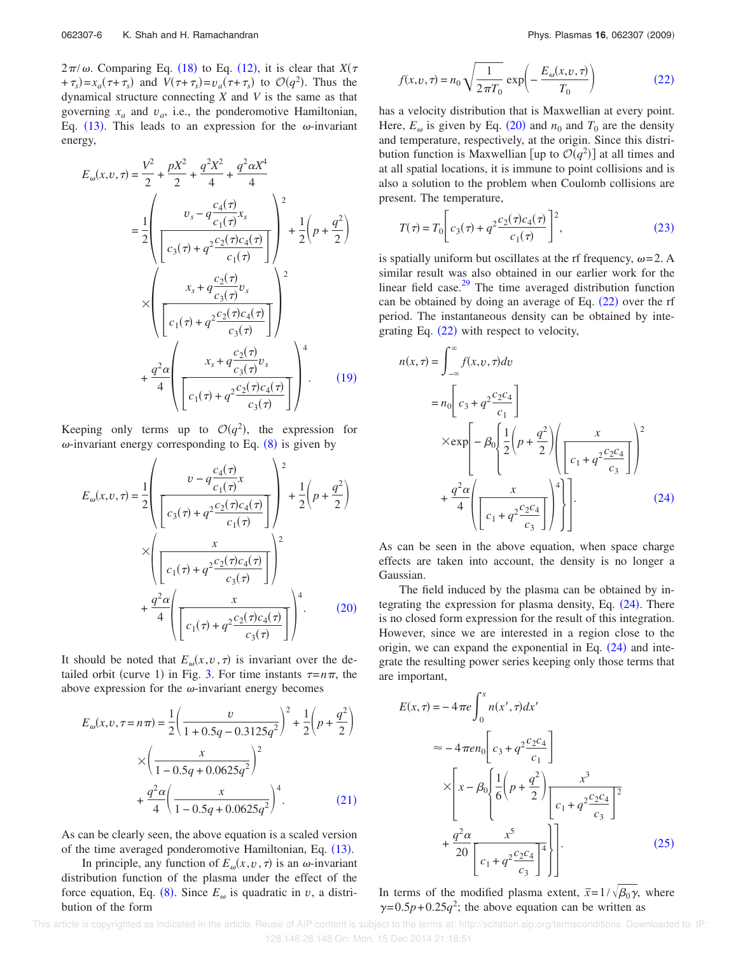$2\pi/\omega$ . Comparing Eq. (18) to Eq. (12), it is clear that *X*( $\tau$ +  $\tau_s$ ) =  $x_a(\tau + \tau_s)$  and  $V(\tau + \tau_s) = v_a(\tau + \tau_s)$  to  $\mathcal{O}(q^2)$ . Thus the dynamical structure connecting *X* and *V* is the same as that governing  $x_a$  and  $v_a$ , i.e., the ponderomotive Hamiltonian, Eq. (13). This leads to an expression for the  $\omega$ -invariant energy,

$$
E_{\omega}(x, v, \tau) = \frac{V^2}{2} + \frac{pX^2}{2} + \frac{q^2X^2}{4} + \frac{q^2\alpha X^4}{4}
$$
  
\n
$$
= \frac{1}{2} \left( \frac{v_s - q\frac{c_4(\tau)}{c_1(\tau)} x_s}{\left[ c_3(\tau) + q^2 \frac{c_2(\tau)c_4(\tau)}{c_1(\tau)} \right]} \right) + \frac{1}{2} \left( p + \frac{q^2}{2} \right)
$$
  
\n
$$
\times \left( \frac{x_s + q\frac{c_2(\tau)}{c_3(\tau)} v_s}{\left[ c_1(\tau) + q^2 \frac{c_2(\tau)c_4(\tau)}{c_3(\tau)} \right]} \right)^2
$$
  
\n
$$
+ \frac{q^2\alpha}{4} \left( \frac{x_s + q\frac{c_2(\tau)}{c_3(\tau)} v_s}{\left[ c_1(\tau) + q^2 \frac{c_2(\tau)c_4(\tau)}{c_3(\tau)} \right]} \right)^4.
$$
(19)

Keeping only terms up to  $O(q^2)$ , the expression for  $\omega$ -invariant energy corresponding to Eq. (8) is given by

$$
E_{\omega}(x, v, \tau) = \frac{1}{2} \left( \frac{v - q \frac{c_4(\tau)}{c_1(\tau)} x}{\left[ c_3(\tau) + q^2 \frac{c_2(\tau)c_4(\tau)}{c_1(\tau)} \right]} \right)^2 + \frac{1}{2} \left( p + \frac{q^2}{2} \right)
$$

$$
\times \left( \frac{x}{\left[ c_1(\tau) + q^2 \frac{c_2(\tau)c_4(\tau)}{c_3(\tau)} \right]} \right)^2 + \frac{q^2 \alpha}{4} \left( \frac{x}{\left[ c_1(\tau) + q^2 \frac{c_2(\tau)c_4(\tau)}{c_3(\tau)} \right]} \right)^4.
$$
(20)

It should be noted that  $E_{\omega}(x, v, \tau)$  is invariant over the detailed orbit (curve 1) in Fig. 3. For time instants  $\tau = n\pi$ , the above expression for the  $\omega$ -invariant energy becomes

$$
E_{\omega}(x, v, \tau = n\pi) = \frac{1}{2} \left( \frac{v}{1 + 0.5q - 0.3125q^2} \right)^2 + \frac{1}{2} \left( p + \frac{q^2}{2} \right)
$$

$$
\times \left( \frac{x}{1 - 0.5q + 0.0625q^2} \right)^2 + \frac{q^2 \alpha}{4} \left( \frac{x}{1 - 0.5q + 0.0625q^2} \right)^4.
$$
(21)

As can be clearly seen, the above equation is a scaled version of the time averaged ponderomotive Hamiltonian, Eq. (13).

In principle, any function of  $E_{\omega}(x, v, \tau)$  is an  $\omega$ -invariant distribution function of the plasma under the effect of the force equation, Eq. (8). Since  $E_{\omega}$  is quadratic in *v*, a distribution of the form

$$
f(x,v,\tau) = n_0 \sqrt{\frac{1}{2\pi T_0}} \exp\left(-\frac{E_{\omega}(x,v,\tau)}{T_0}\right) \tag{22}
$$

has a velocity distribution that is Maxwellian at every point. Here,  $E_{\omega}$  is given by Eq. (20) and  $n_0$  and  $T_0$  are the density and temperature, respectively, at the origin. Since this distribution function is Maxwellian [up to  $\mathcal{O}(q^2)$ ] at all times and at all spatial locations, it is immune to point collisions and is also a solution to the problem when Coulomb collisions are present. The temperature,

$$
T(\tau) = T_0 \left[ c_3(\tau) + q^2 \frac{c_2(\tau) c_4(\tau)}{c_1(\tau)} \right]^2,
$$
 (23)

is spatially uniform but oscillates at the rf frequency,  $\omega$ =2. A similar result was also obtained in our earlier work for the linear field case. $29$  The time averaged distribution function can be obtained by doing an average of Eq.  $(22)$  over the rf period. The instantaneous density can be obtained by integrating Eq.  $(22)$  with respect to velocity,

$$
n(x,\tau) = \int_{-\infty}^{\infty} f(x,v,\tau)dv
$$
  
\n
$$
= n_0 \left[ c_3 + q^2 \frac{c_2 c_4}{c_1} \right]
$$
  
\n
$$
\times \exp\left[ -\beta_0 \left\{ \frac{1}{2} \left( p + \frac{q^2}{2} \right) \left( \frac{x}{\left[ c_1 + q^2 \frac{c_2 c_4}{c_3} \right]} \right)^2 \right\}
$$
  
\n
$$
+ \frac{q^2 \alpha}{4} \left( \frac{x}{\left[ c_1 + q^2 \frac{c_2 c_4}{c_3} \right]} \right)^4 \right].
$$
 (24)

As can be seen in the above equation, when space charge effects are taken into account, the density is no longer a Gaussian.

The field induced by the plasma can be obtained by integrating the expression for plasma density, Eq.  $(24)$ . There is no closed form expression for the result of this integration. However, since we are interested in a region close to the origin, we can expand the exponential in Eq.  $(24)$  and integrate the resulting power series keeping only those terms that are important,

$$
E(x,\tau) = -4 \pi e \int_0^x n(x',\tau) dx'
$$
  
\n
$$
\approx -4 \pi e n_0 \left[ c_3 + q^2 \frac{c_2 c_4}{c_1} \right]
$$
  
\n
$$
\times \left[ x - \beta_0 \left\{ \frac{1}{6} \left( p + \frac{q^2}{2} \right) \frac{x^3}{\left[ c_1 + q^2 \frac{c_2 c_4}{c_3} \right]^2} \right\} + \frac{q^2 \alpha}{20} \frac{x^5}{\left[ c_1 + q^2 \frac{c_2 c_4}{c_3} \right]^4} \right].
$$
\n(25)

In terms of the modified plasma extent,  $\bar{x}=1/\sqrt{\beta_0\gamma}$ , where  $\gamma = 0.5p + 0.25q^2$ ; the above equation can be written as

This article is copyrighted as indicated in the article. Reuse of AIP content is subject to the terms at: http://scitation.aip.org/termsconditions. Downloaded to IP: 128.146.28.148 On: Mon, 15 Dec 2014 21:18:51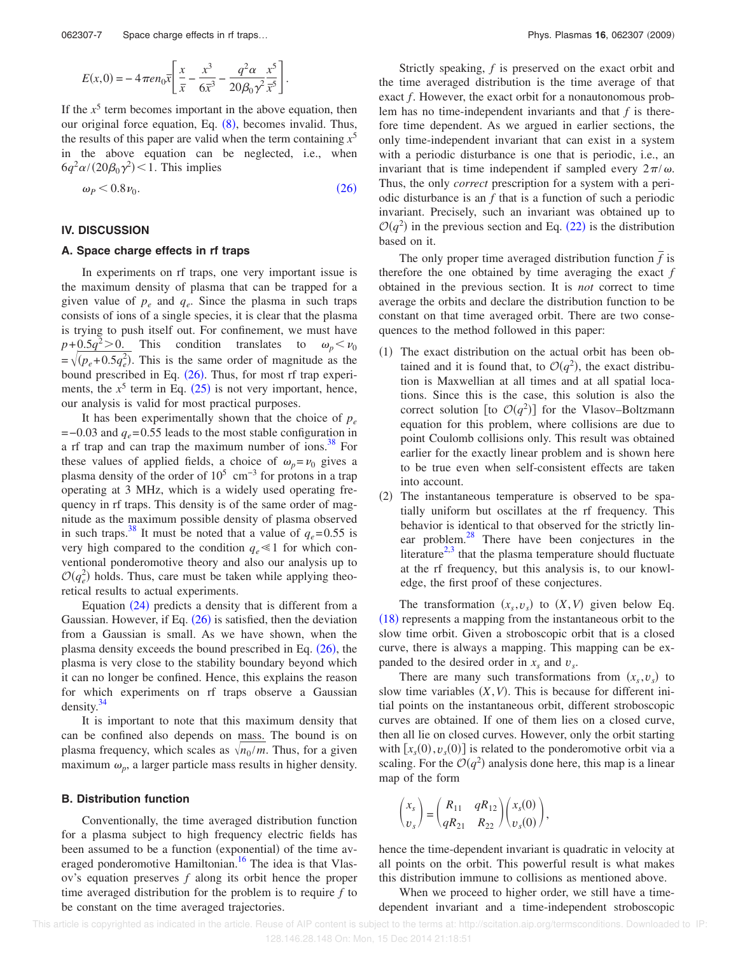$$
E(x,0) = -4\pi en_0 \overline{x} \left[ \frac{x}{\overline{x}} - \frac{x^3}{6\overline{x}^3} - \frac{q^2 \alpha}{20\beta_0 \gamma^2} \frac{x^5}{\overline{x}^5} \right].
$$

If the  $x^5$  term becomes important in the above equation, then our original force equation, Eq. (8), becomes invalid. Thus, the results of this paper are valid when the term containing *x* 5 in the above equation can be neglected, i.e., when  $6q^2\alpha/(20\beta_0\gamma^2)$  < 1. This implies

$$
\omega_P < 0.8 \nu_0. \tag{26}
$$

#### **IV. DISCUSSION**

#### **A. Space charge effects in rf traps**

In experiments on rf traps, one very important issue is the maximum density of plasma that can be trapped for a given value of  $p_e$  and  $q_e$ . Since the plasma in such traps consists of ions of a single species, it is clear that the plasma is trying to push itself out. For confinement, we must have  $p + 0.5q^2 > 0$ . This condition translates to  $\omega_p < \nu_0$  $=\sqrt{(p_e+0.5q_e^2)}$ . This is the same order of magnitude as the bound prescribed in Eq. (26). Thus, for most rf trap experiments, the  $x^5$  term in Eq. (25) is not very important, hence, our analysis is valid for most practical purposes.

It has been experimentally shown that the choice of  $p_e$ =−0.03 and *qe*=0.55 leads to the most stable configuration in a rf trap and can trap the maximum number of ions.<sup>38</sup> For these values of applied fields, a choice of  $\omega_p = v_0$  gives a plasma density of the order of  $10^5$  cm<sup>-3</sup> for protons in a trap operating at 3 MHz, which is a widely used operating frequency in rf traps. This density is of the same order of magnitude as the maximum possible density of plasma observed in such traps.<sup>38</sup> It must be noted that a value of  $q_e$ =0.55 is very high compared to the condition  $q_e \ll 1$  for which conventional ponderomotive theory and also our analysis up to  $\mathcal{O}(q_e^2)$  holds. Thus, care must be taken while applying theoretical results to actual experiments.

Equation (24) predicts a density that is different from a Gaussian. However, if Eq.  $(26)$  is satisfied, then the deviation from a Gaussian is small. As we have shown, when the plasma density exceeds the bound prescribed in Eq.  $(26)$ , the plasma is very close to the stability boundary beyond which it can no longer be confined. Hence, this explains the reason for which experiments on rf traps observe a Gaussian density. $34$ 

It is important to note that this maximum density that can be confined also depends on mass. The bound is on plasma frequency, which scales as  $\sqrt{n_0/m}$ . Thus, for a given maximum  $\omega_p$ , a larger particle mass results in higher density.

#### **B. Distribution function**

Conventionally, the time averaged distribution function for a plasma subject to high frequency electric fields has been assumed to be a function (exponential) of the time averaged ponderomotive Hamiltonian.<sup>16</sup> The idea is that Vlasov's equation preserves *f* along its orbit hence the proper time averaged distribution for the problem is to require *f* to be constant on the time averaged trajectories.

Strictly speaking, *f* is preserved on the exact orbit and the time averaged distribution is the time average of that exact *f*. However, the exact orbit for a nonautonomous problem has no time-independent invariants and that *f* is therefore time dependent. As we argued in earlier sections, the only time-independent invariant that can exist in a system with a periodic disturbance is one that is periodic, i.e., an invariant that is time independent if sampled every  $2\pi/\omega$ . Thus, the only *correct* prescription for a system with a periodic disturbance is an *f* that is a function of such a periodic invariant. Precisely, such an invariant was obtained up to  $O(q^2)$  in the previous section and Eq. (22) is the distribution based on it.

The only proper time averaged distribution function  $\overline{f}$  is therefore the one obtained by time averaging the exact *f* obtained in the previous section. It is *not* correct to time average the orbits and declare the distribution function to be constant on that time averaged orbit. There are two consequences to the method followed in this paper:

- (1) The exact distribution on the actual orbit has been obtained and it is found that, to  $\mathcal{O}(q^2)$ , the exact distribution is Maxwellian at all times and at all spatial locations. Since this is the case, this solution is also the correct solution [to  $\mathcal{O}(q^2)$ ] for the Vlasov–Boltzmann equation for this problem, where collisions are due to point Coulomb collisions only. This result was obtained earlier for the exactly linear problem and is shown here to be true even when self-consistent effects are taken into account.
- (2) The instantaneous temperature is observed to be spatially uniform but oscillates at the rf frequency. This behavior is identical to that observed for the strictly linear problem.<sup>28</sup> There have been conjectures in the literature<sup>2,3</sup> that the plasma temperature should fluctuate at the rf frequency, but this analysis is, to our knowledge, the first proof of these conjectures.

The transformation  $(x_s, v_s)$  to  $(X, V)$  given below Eq. (18) represents a mapping from the instantaneous orbit to the slow time orbit. Given a stroboscopic orbit that is a closed curve, there is always a mapping. This mapping can be expanded to the desired order in  $x_s$  and  $v_s$ .

There are many such transformations from  $(x_s, v_s)$  to slow time variables  $(X, V)$ . This is because for different initial points on the instantaneous orbit, different stroboscopic curves are obtained. If one of them lies on a closed curve, then all lie on closed curves. However, only the orbit starting with  $[x_s(0), v_s(0)]$  is related to the ponderomotive orbit via a scaling. For the  $O(q^2)$  analysis done here, this map is a linear map of the form

$$
\begin{pmatrix} x_s \\ v_s \end{pmatrix} = \begin{pmatrix} R_{11} & qR_{12} \\ qR_{21} & R_{22} \end{pmatrix} \begin{pmatrix} x_s(0) \\ v_s(0) \end{pmatrix},
$$

hence the time-dependent invariant is quadratic in velocity at all points on the orbit. This powerful result is what makes this distribution immune to collisions as mentioned above.

When we proceed to higher order, we still have a timedependent invariant and a time-independent stroboscopic

This article is copyrighted as indicated in the article. Reuse of AIP content is subject to the terms at: http://scitation.aip.org/termsconditions. Downloaded to IP: 128.146.28.148 On: Mon, 15 Dec 2014 21:18:51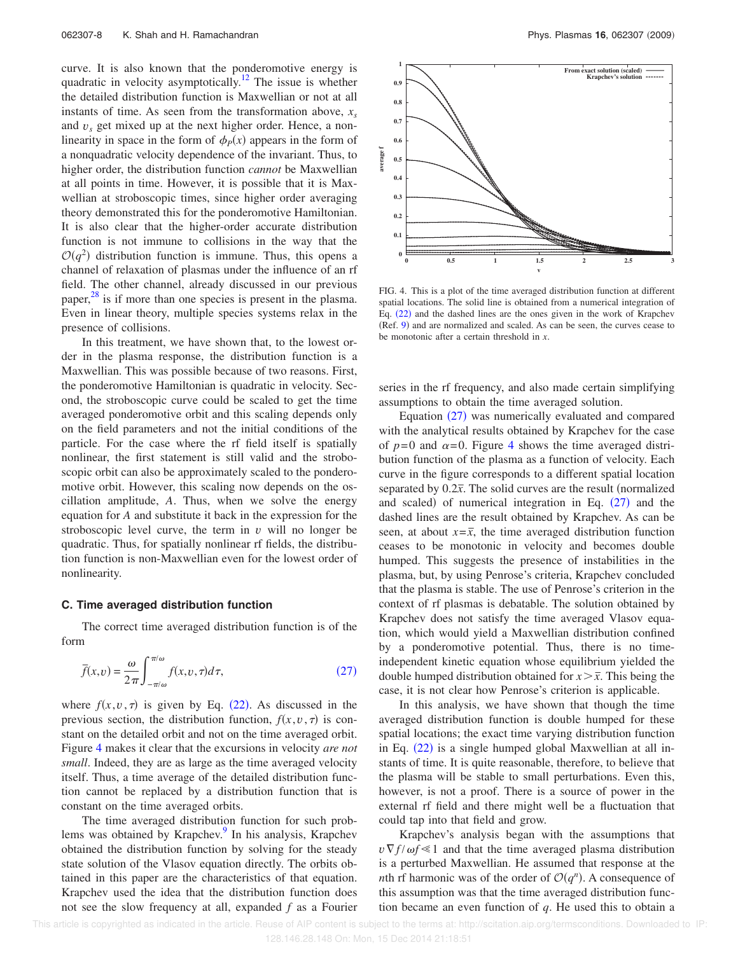curve. It is also known that the ponderomotive energy is quadratic in velocity asymptotically.<sup>12</sup> The issue is whether the detailed distribution function is Maxwellian or not at all instants of time. As seen from the transformation above,  $x_s$ and  $v<sub>s</sub>$  get mixed up at the next higher order. Hence, a nonlinearity in space in the form of  $\phi_P(x)$  appears in the form of a nonquadratic velocity dependence of the invariant. Thus, to higher order, the distribution function *cannot* be Maxwellian at all points in time. However, it is possible that it is Maxwellian at stroboscopic times, since higher order averaging theory demonstrated this for the ponderomotive Hamiltonian. It is also clear that the higher-order accurate distribution function is not immune to collisions in the way that the  $O(q^2)$  distribution function is immune. Thus, this opens a channel of relaxation of plasmas under the influence of an rf field. The other channel, already discussed in our previous paper,<sup>28</sup> is if more than one species is present in the plasma. Even in linear theory, multiple species systems relax in the presence of collisions.

In this treatment, we have shown that, to the lowest order in the plasma response, the distribution function is a Maxwellian. This was possible because of two reasons. First, the ponderomotive Hamiltonian is quadratic in velocity. Second, the stroboscopic curve could be scaled to get the time averaged ponderomotive orbit and this scaling depends only on the field parameters and not the initial conditions of the particle. For the case where the rf field itself is spatially nonlinear, the first statement is still valid and the stroboscopic orbit can also be approximately scaled to the ponderomotive orbit. However, this scaling now depends on the oscillation amplitude, *A*. Thus, when we solve the energy equation for *A* and substitute it back in the expression for the stroboscopic level curve, the term in  $v$  will no longer be quadratic. Thus, for spatially nonlinear rf fields, the distribution function is non-Maxwellian even for the lowest order of nonlinearity.

#### **C. Time averaged distribution function**

The correct time averaged distribution function is of the form

$$
\overline{f}(x,v) = \frac{\omega}{2\pi} \int_{-\pi/\omega}^{\pi/\omega} f(x,v,\tau)d\tau,
$$
\n(27)

where  $f(x, v, \tau)$  is given by Eq. (22). As discussed in the previous section, the distribution function,  $f(x, v, \tau)$  is constant on the detailed orbit and not on the time averaged orbit. Figure 4 makes it clear that the excursions in velocity *are not small*. Indeed, they are as large as the time averaged velocity itself. Thus, a time average of the detailed distribution function cannot be replaced by a distribution function that is constant on the time averaged orbits.

The time averaged distribution function for such problems was obtained by Krapchev.<sup>9</sup> In his analysis, Krapchev obtained the distribution function by solving for the steady state solution of the Vlasov equation directly. The orbits obtained in this paper are the characteristics of that equation. Krapchev used the idea that the distribution function does not see the slow frequency at all, expanded *f* as a Fourier



FIG. 4. This is a plot of the time averaged distribution function at different spatial locations. The solid line is obtained from a numerical integration of Eq. (22) and the dashed lines are the ones given in the work of Krapchev  $(Ref. 9)$  and are normalized and scaled. As can be seen, the curves cease to be monotonic after a certain threshold in *x*.

series in the rf frequency, and also made certain simplifying assumptions to obtain the time averaged solution.

Equation (27) was numerically evaluated and compared with the analytical results obtained by Krapchev for the case of  $p=0$  and  $\alpha=0$ . Figure 4 shows the time averaged distribution function of the plasma as a function of velocity. Each curve in the figure corresponds to a different spatial location separated by  $0.2\bar{x}$ . The solid curves are the result (normalized and scaled) of numerical integration in Eq.  $(27)$  and the dashed lines are the result obtained by Krapchev. As can be seen, at about  $x = \overline{x}$ , the time averaged distribution function ceases to be monotonic in velocity and becomes double humped. This suggests the presence of instabilities in the plasma, but, by using Penrose's criteria, Krapchev concluded that the plasma is stable. The use of Penrose's criterion in the context of rf plasmas is debatable. The solution obtained by Krapchev does not satisfy the time averaged Vlasov equation, which would yield a Maxwellian distribution confined by a ponderomotive potential. Thus, there is no timeindependent kinetic equation whose equilibrium yielded the double humped distribution obtained for  $x > \bar{x}$ . This being the case, it is not clear how Penrose's criterion is applicable.

In this analysis, we have shown that though the time averaged distribution function is double humped for these spatial locations; the exact time varying distribution function in Eq. (22) is a single humped global Maxwellian at all instants of time. It is quite reasonable, therefore, to believe that the plasma will be stable to small perturbations. Even this, however, is not a proof. There is a source of power in the external rf field and there might well be a fluctuation that could tap into that field and grow.

Krapchev's analysis began with the assumptions that  $\nu \nabla f / \omega f \leq 1$  and that the time averaged plasma distribution is a perturbed Maxwellian. He assumed that response at the *n*th rf harmonic was of the order of  $\mathcal{O}(q^n)$ . A consequence of this assumption was that the time averaged distribution function became an even function of *q*. He used this to obtain a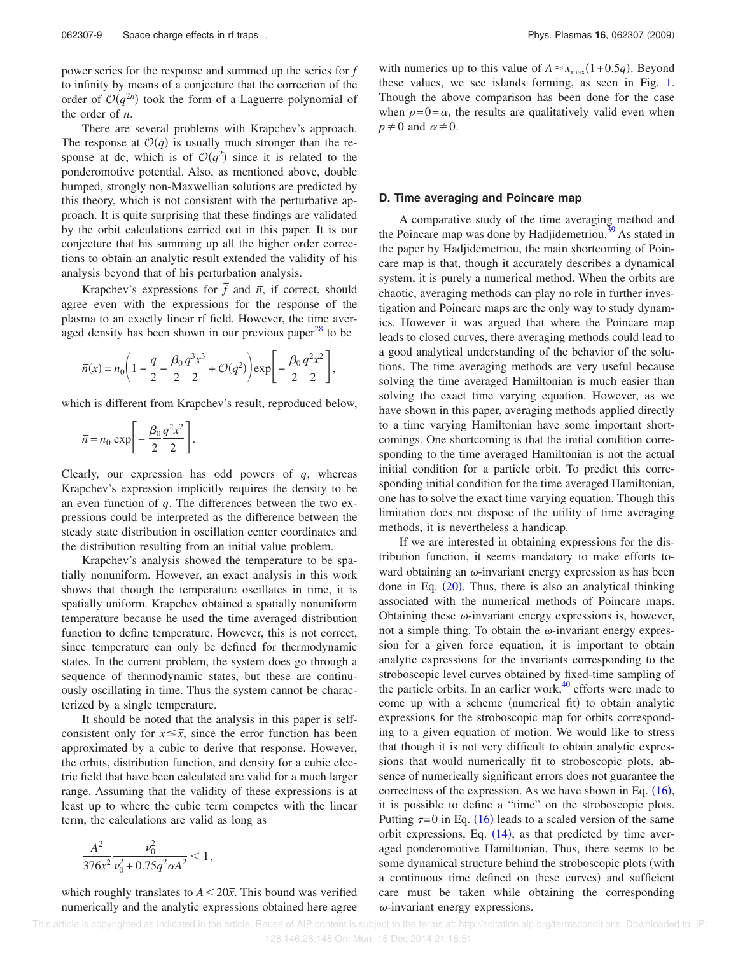power series for the response and summed up the series for  $\bar{f}$ to infinity by means of a conjecture that the correction of the order of  $O(q^{2n})$  took the form of a Laguerre polynomial of the order of *n*.

There are several problems with Krapchev's approach. The response at  $O(q)$  is usually much stronger than the response at dc, which is of  $O(q^2)$  since it is related to the ponderomotive potential. Also, as mentioned above, double humped, strongly non-Maxwellian solutions are predicted by this theory, which is not consistent with the perturbative approach. It is quite surprising that these findings are validated by the orbit calculations carried out in this paper. It is our conjecture that his summing up all the higher order corrections to obtain an analytic result extended the validity of his analysis beyond that of his perturbation analysis.

Krapchev's expressions for  $\overline{f}$  and  $\overline{n}$ , if correct, should agree even with the expressions for the response of the plasma to an exactly linear rf field. However, the time averaged density has been shown in our previous paper $^{28}$  to be

$$
\bar{n}(x) = n_0 \left( 1 - \frac{q}{2} - \frac{\beta_0 q^3 x^3}{2} + \mathcal{O}(q^2) \right) \exp\left[ -\frac{\beta_0 q^2 x^2}{2} \right],
$$

which is different from Krapchev's result, reproduced below,

$$
\bar{n} = n_0 \exp\left[-\frac{\beta_0}{2} \frac{q^2 x^2}{2}\right].
$$

Clearly, our expression has odd powers of *q*, whereas Krapchev's expression implicitly requires the density to be an even function of *q*. The differences between the two expressions could be interpreted as the difference between the steady state distribution in oscillation center coordinates and the distribution resulting from an initial value problem.

Krapchev's analysis showed the temperature to be spatially nonuniform. However, an exact analysis in this work shows that though the temperature oscillates in time, it is spatially uniform. Krapchev obtained a spatially nonuniform temperature because he used the time averaged distribution function to define temperature. However, this is not correct, since temperature can only be defined for thermodynamic states. In the current problem, the system does go through a sequence of thermodynamic states, but these are continuously oscillating in time. Thus the system cannot be characterized by a single temperature.

It should be noted that the analysis in this paper is selfconsistent only for  $x \leq \overline{x}$ , since the error function has been approximated by a cubic to derive that response. However, the orbits, distribution function, and density for a cubic electric field that have been calculated are valid for a much larger range. Assuming that the validity of these expressions is at least up to where the cubic term competes with the linear term, the calculations are valid as long as

$$
\frac{A^2}{376\bar{x}^2} \frac{\nu_0^2}{\nu_0^2 + 0.75q^2\alpha A^2} < 1,
$$

which roughly translates to  $A \leq 20\bar{x}$ . This bound was verified numerically and the analytic expressions obtained here agree

with numerics up to this value of  $A \approx x_{\text{max}}(1+0.5q)$ . Beyond these values, we see islands forming, as seen in Fig. 1. Though the above comparison has been done for the case when  $p=0=\alpha$ , the results are qualitatively valid even when  $p \neq 0$  and  $\alpha \neq 0$ .

#### **D. Time averaging and Poincare map**

A comparative study of the time averaging method and the Poincare map was done by Hadjidemetriou.<sup>39</sup> As stated in the paper by Hadjidemetriou, the main shortcoming of Poincare map is that, though it accurately describes a dynamical system, it is purely a numerical method. When the orbits are chaotic, averaging methods can play no role in further investigation and Poincare maps are the only way to study dynamics. However it was argued that where the Poincare map leads to closed curves, there averaging methods could lead to a good analytical understanding of the behavior of the solutions. The time averaging methods are very useful because solving the time averaged Hamiltonian is much easier than solving the exact time varying equation. However, as we have shown in this paper, averaging methods applied directly to a time varying Hamiltonian have some important shortcomings. One shortcoming is that the initial condition corresponding to the time averaged Hamiltonian is not the actual initial condition for a particle orbit. To predict this corresponding initial condition for the time averaged Hamiltonian, one has to solve the exact time varying equation. Though this limitation does not dispose of the utility of time averaging methods, it is nevertheless a handicap.

If we are interested in obtaining expressions for the distribution function, it seems mandatory to make efforts toward obtaining an  $\omega$ -invariant energy expression as has been done in Eq.  $(20)$ . Thus, there is also an analytical thinking associated with the numerical methods of Poincare maps. Obtaining these  $\omega$ -invariant energy expressions is, however, not a simple thing. To obtain the  $\omega$ -invariant energy expression for a given force equation, it is important to obtain analytic expressions for the invariants corresponding to the stroboscopic level curves obtained by fixed-time sampling of the particle orbits. In an earlier work, $40$  efforts were made to come up with a scheme (numerical fit) to obtain analytic expressions for the stroboscopic map for orbits corresponding to a given equation of motion. We would like to stress that though it is not very difficult to obtain analytic expressions that would numerically fit to stroboscopic plots, absence of numerically significant errors does not guarantee the correctness of the expression. As we have shown in Eq.  $(16)$ , it is possible to define a "time" on the stroboscopic plots. Putting  $\tau = 0$  in Eq. (16) leads to a scaled version of the same orbit expressions, Eq.  $(14)$ , as that predicted by time averaged ponderomotive Hamiltonian. Thus, there seems to be some dynamical structure behind the stroboscopic plots (with a continuous time defined on these curves) and sufficient care must be taken while obtaining the corresponding  $\omega$ -invariant energy expressions.